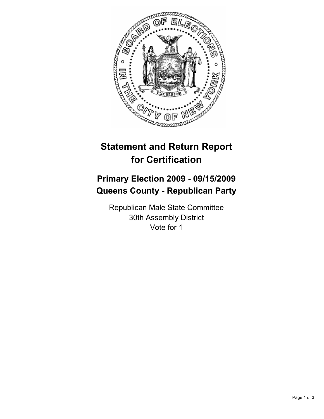

## **Statement and Return Report for Certification**

## **Primary Election 2009 - 09/15/2009 Queens County - Republican Party**

Republican Male State Committee 30th Assembly District Vote for 1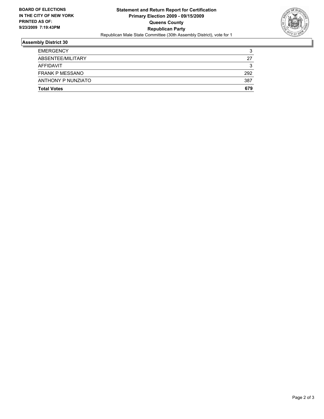

## **Assembly District 30**

| <b>Total Votes</b>     | 679 |
|------------------------|-----|
| ANTHONY P NUNZIATO     | 387 |
| <b>FRANK P MESSANO</b> | 292 |
| AFFIDAVIT              | 3   |
| ABSENTEE/MILITARY      | 27  |
| <b>EMERGENCY</b>       | 3   |